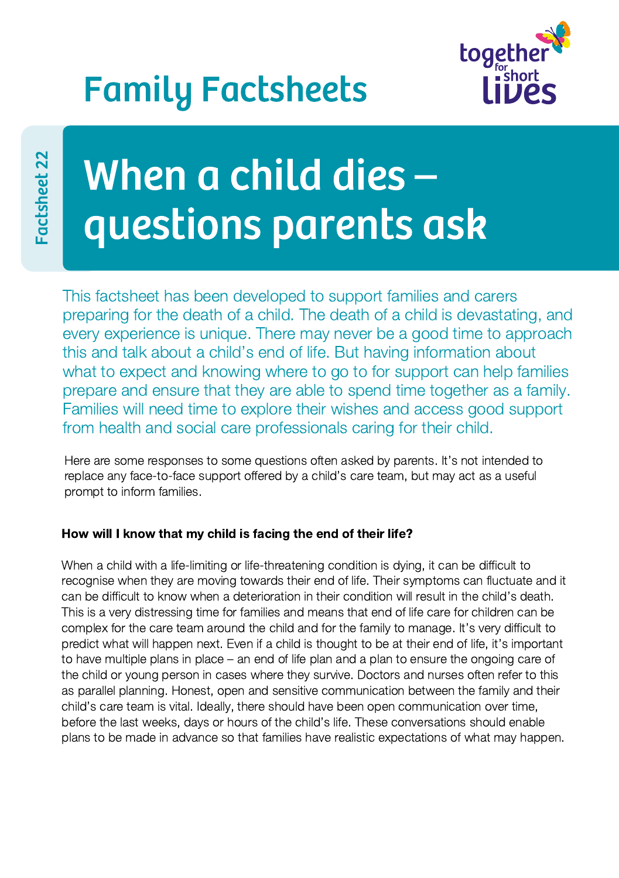## Family Factsheets



# When a child dies – questions parents ask

This factsheet has been developed to support families and carers preparing for the death of a child. The death of a child is devastating, and every experience is unique. There may never be a good time to approach this and talk about a child's end of life. But having information about what to expect and knowing where to go to for support can help families prepare and ensure that they are able to spend time together as a family. Families will need time to explore their wishes and access good support from health and social care professionals caring for their child.

Here are some responses to some questions often asked by parents. It's not intended to replace any face-to-face support offered by a child's care team, but may act as a useful prompt to inform families.

### How will I know that my child is facing the end of their life?

When a child with a life-limiting or life-threatening condition is dying, it can be difficult to recognise when they are moving towards their end of life. Their symptoms can fluctuate and it can be difficult to know when a deterioration in their condition will result in the child's death. This is a very distressing time for families and means that end of life care for children can be complex for the care team around the child and for the family to manage. It's very difficult to predict what will happen next. Even if a child is thought to be at their end of life, it's important to have multiple plans in place – an end of life plan and a plan to ensure the ongoing care of the child or young person in cases where they survive. Doctors and nurses often refer to this as parallel planning. Honest, open and sensitive communication between the family and their child's care team is vital. Ideally, there should have been open communication over time, before the last weeks, days or hours of the child's life. These conversations should enable plans to be made in advance so that families have realistic expectations of what may happen.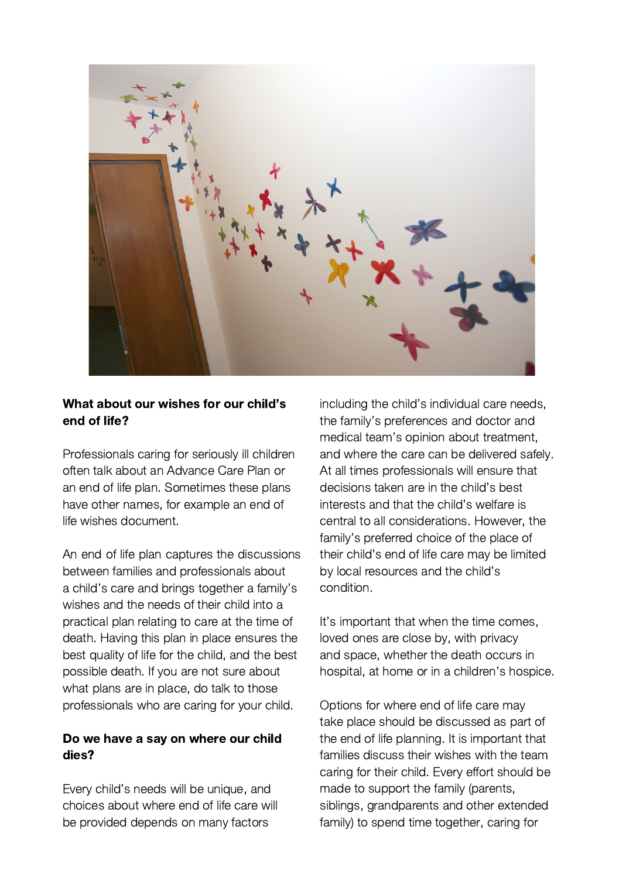

#### What about our wishes for our child's end of life?

Professionals caring for seriously ill children often talk about an Advance Care Plan or an end of life plan. Sometimes these plans have other names, for example an end of life wishes document.

An end of life plan captures the discussions between families and professionals about a child's care and brings together a family's wishes and the needs of their child into a practical plan relating to care at the time of death. Having this plan in place ensures the best quality of life for the child, and the best possible death. If you are not sure about what plans are in place, do talk to those professionals who are caring for your child.

#### Do we have a say on where our child dies?

Every child's needs will be unique, and choices about where end of life care will be provided depends on many factors

including the child's individual care needs, the family's preferences and doctor and medical team's opinion about treatment, and where the care can be delivered safely. At all times professionals will ensure that decisions taken are in the child's best interests and that the child's welfare is central to all considerations. However, the family's preferred choice of the place of their child's end of life care may be limited by local resources and the child's condition.

It's important that when the time comes, loved ones are close by, with privacy and space, whether the death occurs in hospital, at home or in a children's hospice.

Options for where end of life care may take place should be discussed as part of the end of life planning. It is important that families discuss their wishes with the team caring for their child. Every effort should be made to support the family (parents, siblings, grandparents and other extended family) to spend time together, caring for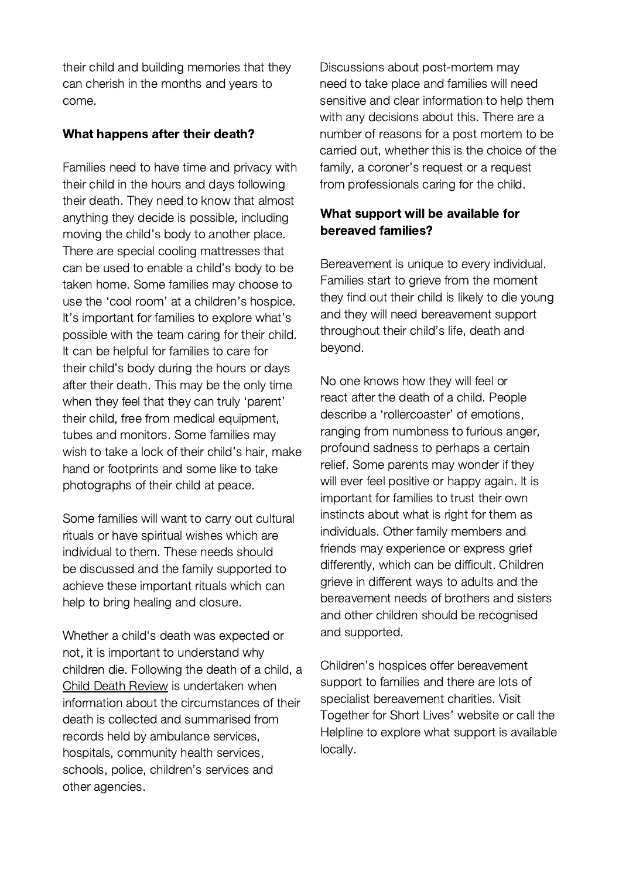their child and building memories that they can cherish in the months and years to come.

#### What happens after their death?

Families need to have time and privacy with their child in the hours and days following their death. They need to know that almost anything they decide is possible, including moving the child's body to another place. There are special cooling mattresses that can be used to enable a child's body to be taken home. Some families may choose to use the 'cool room' at a children's hospice. It's important for families to explore what's possible with the team caring for their child. It can be helpful for families to care for their child's body during the hours or days after their death. This may be the only time when they feel that they can truly 'parent' their child, free from medical equipment, tubes and monitors. Some families may wish to take a lock of their child's hair, make hand or footprints and some like to take photographs of their child at peace.

Some families will want to carry out cultural rituals or have spiritual wishes which are individual to them. These needs should be discussed and the family supported to achieve these important rituals which can help to bring healing and closure.

Whether a child's death was expected or not, it is important to understand why children die. Following the death of a child, a Child Death [Review](https://www.togetherforshortlives.org.uk/get-support/supporting-you/family-resources/standards-framework-childrens-palliative-care/) is undertaken when information about the circumstances of their death is collected and summarised from records held by ambulance services, hospitals, community health services, schools, police, children's services and other agencies.

Discussions about post-mortem may need to take place and families will need sensitive and clear information to help them with any decisions about this. There are a number of reasons for a post mortem to be carried out, whether this is the choice of the family, a coroner's request or a request from professionals caring for the child.

#### What support will be available for bereaved families?

Bereavement is unique to every individual. Families start to grieve from the moment they find out their child is likely to die young and they will need bereavement support throughout their child's life, death and beyond.

No one knows how they will feel or react after the death of a child. People describe a 'rollercoaster' of emotions, ranging from numbness to furious anger, profound sadness to perhaps a certain relief. Some parents may wonder if they will ever feel positive or happy again. It is important for families to trust their own instincts about what is right for them as individuals. Other family members and friends may experience or express grief differently, which can be difficult. Children grieve in different ways to adults and the bereavement needs of brothers and sisters and other children should be recognised and supported.

Children's hospices offer bereavement support to families and there are lots of specialist bereavement charities. Visit Together for Short Lives' website or call the Helpline to explore what support is available locally.